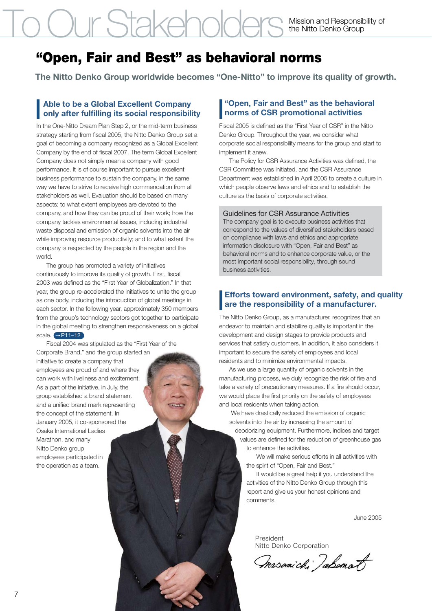# To Our Stakeholders

Mission and Responsibility of the Nitto Denko Group

## **"Open, Fair and Best" as behavioral norms**

**The Nitto Denko Group worldwide becomes "One-Nitto" to improve its quality of growth.**

### **Able to be a Global Excellent Company only after fulfilling its social responsibility**

In the One-Nitto Dream Plan Step 2, or the mid-term business strategy starting from fiscal 2005, the Nitto Denko Group set a goal of becoming a company recognized as a Global Excellent Company by the end of fiscal 2007. The term Global Excellent Company does not simply mean a company with good performance. It is of course important to pursue excellent business performance to sustain the company, in the same way we have to strive to receive high commendation from all stakeholders as well. Evaluation should be based on many aspects: to what extent employees are devoted to the company, and how they can be proud of their work; how the company tackles environmental issues, including industrial waste disposal and emission of organic solvents into the air while improving resource productivity; and to what extent the company is respected by the people in the region and the world.

 The group has promoted a variety of initiatives continuously to improve its quality of growth. First, fiscal 2003 was defined as the "First Year of Globalization." In that year, the group re-accelerated the initiatives to unite the group as one body, including the introduction of global meetings in each sector. In the following year, approximately 350 members from the group's technology sectors got together to participate in the global meeting to strengthen responsiveness on a global scale. → P11-12

 Fiscal 2004 was stipulated as the "First Year of the Corporate Brand," and the group started an initiative to create a company that employees are proud of and where they can work with liveliness and excitement. As a part of the initiative, in July, the group established a brand statement and a unified brand mark representing the concept of the statement. In January 2005, it co-sponsored the Osaka International Ladies Marathon, and many Nitto Denko group employees participated in the operation as a team.

#### **"Open, Fair and Best" as the behavioral norms of CSR promotional activities**

Fiscal 2005 is defined as the "First Year of CSR" in the Nitto Denko Group. Throughout the year, we consider what corporate social responsibility means for the group and start to implement it anew.

 The Policy for CSR Assurance Activities was defined, the CSR Committee was initiated, and the CSR Assurance Department was established in April 2005 to create a culture in which people observe laws and ethics and to establish the culture as the basis of corporate activities.

Guidelines for CSR Assurance Activities

The company goal is to execute business activities that correspond to the values of diversified stakeholders based on compliance with laws and ethics and appropriate information disclosure with "Open, Fair and Best" as behavioral norms and to enhance corporate value, or the most important social responsibility, through sound business activities.

#### **Efforts toward environment, safety, and quality are the responsibility of a manufacturer.**

The Nitto Denko Group, as a manufacturer, recognizes that an endeavor to maintain and stabilize quality is important in the development and design stages to provide products and services that satisfy customers. In addition, it also considers it important to secure the safety of employees and local residents and to minimize environmental impacts.

 As we use a large quantity of organic solvents in the manufacturing process, we duly recognize the risk of fire and take a variety of precautionary measures. If a fire should occur, we would place the first priority on the safety of employees and local residents when taking action.

 We have drastically reduced the emission of organic solvents into the air by increasing the amount of deodorizing equipment. Furthermore, indices and target values are defined for the reduction of greenhouse gas to enhance the activities.

> We will make serious efforts in all activities with the spirit of "Open, Fair and Best."

 It would be a great help if you understand the activities of the Nitto Denko Group through this report and give us your honest opinions and comments.

June 2005

President Nitto Denko Corporation

masomichi Jabomot